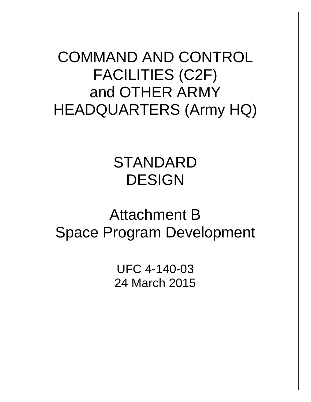COMMAND AND CONTROL FACILITIES (C2F) and OTHER ARMY HEADQUARTERS (Army HQ)

# STANDARD DESIGN

# Attachment B Space Program Development

UFC 4-140-03 24 March 2015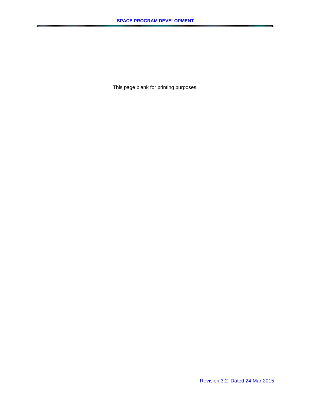This page blank for printing purposes.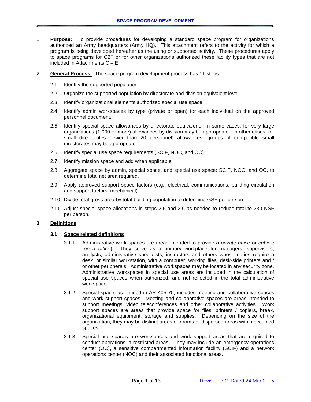- 1 **Purpose:** To provide procedures for developing a standard space program for organizations authorized an Army headquarters (Army HQ). This attachment refers to the activity for which a program is being developed hereafter as the using or supported activity. These procedures apply to space programs for C2F or for other organizations authorized these facility types that are not included in Attachments C – E.
- 2 **General Process:** The space program development process has 11 steps:
	- 2.1 Identify the supported population.
	- 2.2 Organize the supported population by directorate and division equivalent level.
	- 2.3 Identify organizational elements authorized special use space.
	- 2.4 Identify admin workspaces by type (private or open) for each individual on the approved personnel document.
	- 2.5 Identify special space allowances by directorate equivalent. In some cases, for very large organizations (1,000 or more) allowances by division may be appropriate. In other cases, for small directorates (fewer than 20 personnel) allowances, groups of compatible small directorates may be appropriate.
	- 2.6 Identify special use space requirements (SCIF, NOC, and OC).
	- 2.7 Identify mission space and add when applicable.
	- 2.8 Aggregate space by admin, special space, and special use space: SCIF, NOC, and OC, to determine total net area required.
	- 2.9 Apply approved support space factors (e.g., electrical, communications, building circulation and support factors, mechanical).
	- 2.10 Divide total gross area by total building population to determine GSF per person.
	- 2.11 Adjust special space allocations in steps 2.5 and 2.6 as needed to reduce total to 230 NSF per person.

#### **3 Definitions**

#### **3.1 Space related definitions**

- 3.1.1 Administrative work spaces are areas intended to provide a *private office* or *cubicle* (*open office*). They serve as a primary workplace for managers, supervisors, analysts, administrative specialists, instructors and others whose duties require a desk, or similar workstation, with a computer, working files, desk-side printers and / or other peripherals. Administrative workspaces may be located in any security zone. Administrative workspaces in special use areas are included in the calculation of special use spaces when authorized, and not reflected in the total administrative workspace.
- 3.1.2 Special space, as defined in AR 405-70, includes meeting and collaborative spaces and work support spaces. Meeting and collaborative spaces are areas intended to support meetings, video teleconferences and other collaborative activities. Work support spaces are areas that provide space for files, printers / copiers, break, organizational equipment, storage and supplies. Depending on the size of the organization, they may be distinct areas or rooms or dispersed areas within occupied spaces.
- 3.1.3 Special use spaces are workspaces and work support areas that are required to conduct operations in restricted areas. They may include an emergency operations center (OC), a sensitive compartmented information facility (SCIF) and a network operations center (NOC) and their associated functional areas.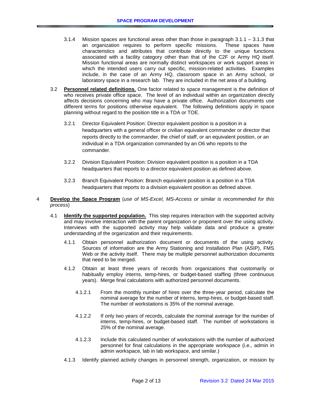- 3.1.4 Mission spaces are functional areas other than those in paragraph 3.1.1 3.1.3 that an organization requires to perform specific missions. These spaces have characteristics and attributes that contribute directly to the unique functions associated with a facility category other than that of the C2F or Army HQ itself. Mission functional areas are normally distinct workspaces or work support areas in which the intended users carry out specific, mission-related activities. Examples include, in the case of an Army HQ, classroom space in an Army school, or laboratory space in a research lab. They are included in the net area of a building.
- 3.2 **Personnel related definitions.** One factor related to space management is the definition of who receives private office space. The level of an individual within an organization directly affects decisions concerning who may have a private office. Authorization documents use different terms for positions otherwise equivalent. The following definitions apply in space planning without regard to the position title in a TDA or TOE.
	- 3.2.1 Director Equivalent Position: Director equivalent position is a position in a headquarters with a general officer or civilian equivalent commander or director that reports directly to the commander, the chief of staff, or an equivalent position, or an individual in a TDA organization commanded by an O6 who reports to the commander.
	- 3.2.2 Division Equivalent Position: Division equivalent position is a position in a TDA headquarters that reports to a director equivalent position as defined above.
	- 3.2.3 Branch Equivalent Position: Branch equivalent position is a position in a TDA headquarters that reports to a division equivalent position as defined above.
- 4 **Develop the Space Program** (*use of MS-Excel, MS-Access or similar is recommended for this process*)
	- 4.1 **Identify the supported population.** This step requires interaction with the supported activity and may involve interaction with the parent organization or proponent over the using activity. Interviews with the supported activity may help validate data and produce a greater understanding of the organization and their requirements.
		- 4.1.1 Obtain personnel authorization document or documents of the using activity. Sources of information are the Army Stationing and Installation Plan (ASIP), FMS Web or the activity itself. There may be multiple personnel authorization documents that need to be merged.
		- 4.1.2 Obtain at least three years of records from organizations that customarily or habitually employ interns, temp-hires, or budget-based staffing (three continuous years). Merge final calculations with authorized personnel documents.
			- 4.1.2.1 From the monthly number of hires over the three-year period, calculate the nominal average for the number of interns, temp-hires, or budget-based staff. The number of workstations is 35% of the nominal average.
			- 4.1.2.2 If only two years of records, calculate the nominal average for the number of interns, temp-hires, or budget-based staff. The number of workstations is 25% of the nominal average.
			- 4.1.2.3 Include this calculated number of workstations with the number of authorized personnel for final calculations in the appropriate workspace (i.e., admin in admin workspace, lab in lab workspace, and similar.)
		- 4.1.3 Identify planned activity changes in personnel strength, organization, or mission by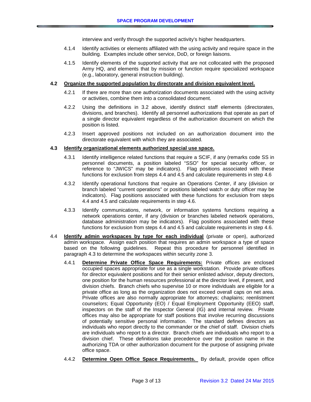interview and verify through the supported activity's higher headquarters.

- 4.1.4 Identify activities or elements affiliated with the using activity and require space in the building. Examples include other service, DoD, or foreign liaisons.
- 4.1.5 Identify elements of the supported activity that are not collocated with the proposed Army HQ, and elements that by mission or function require specialized workspace (e.g., laboratory, general instruction building).

### **4.2 Organize the supported population by directorate and division equivalent level.**

- 4.2.1 If there are more than one authorization documents associated with the using activity or activities, combine them into a consolidated document.
- 4.2.2 Using the definitions in 3.2 above, identify distinct staff elements (directorates, divisions, and branches). Identify all personnel authorizations that operate as part of a single director equivalent regardless of the authorization document on which the position is listed.
- 4.2.3 Insert approved positions not included on an authorization document into the directorate equivalent with which they are associated.

## **4.3 Identify organizational elements authorized special use space.**

- 4.3.1 Identify intelligence related functions that require a SCIF, if any (remarks code SS in personnel documents, a position labeled "SSO" for special security officer, or reference to "JWICS" may be indicators). Flag positions associated with these functions for exclusion from steps 4.4 and 4.5 and calculate requirements in step 4.6
- 4.3.2 Identify operational functions that require an Operations Center, if any (division or branch labeled "current operations" or positions labeled watch or duty officer may be indicators). Flag positions associated with these functions for exclusion from steps 4.4 and 4.5 and calculate requirements in step 4.6.
- 4.3.3 Identify communications, network, or information systems functions requiring a network operations center, if any (division or branches labeled network operations, database administration may be indicators). Flag positions associated with these functions for exclusion from steps 4.4 and 4.5 and calculate requirements in step 4.6.
- 4.4 **Identify admin workspaces by type for each individual** (private or open), authorized admin workspace. Assign each position that requires an admin workspace a type of space based on the following guidelines. Repeat this procedure for personnel identified in paragraph 4.3 to determine the workspaces within security zone 3.
	- 4.4.1 **Determine Private Office Space Requirements:** Private offices are enclosed occupied spaces appropriate for use as a single workstation. Provide private offices for director equivalent positions and for their senior enlisted advisor, deputy directors, one position for the human resources professional at the director level, if present, and division chiefs. Branch chiefs who supervise 10 or more individuals are eligible for a private office as long as the organization does not exceed overall caps on net area. Private offices are also normally appropriate for attorneys; chaplains; reenlistment counselors; Equal Opportunity (EO) / Equal Employment Opportunity (EEO) staff, inspectors on the staff of the Inspector General (IG) and internal review. Private offices may also be appropriate for staff positions that involve recurring discussions of potentially sensitive personal information. The standard defines directors as individuals who report directly to the commander or the chief of staff. Division chiefs are individuals who report to a director. Branch chiefs are individuals who report to a division chief. These definitions take precedence over the position name in the authorizing TDA or other authorization document for the purpose of assigning private office space.
	- 4.4.2 **Determine Open Office Space Requirements.** By default, provide open office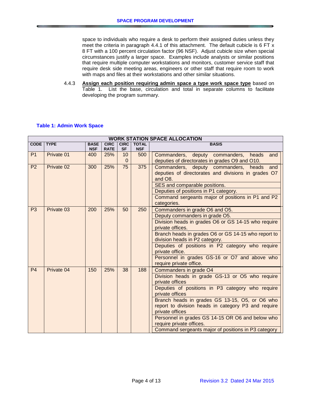space to individuals who require a desk to perform their assigned duties unless they meet the criteria in paragraph 4.4.1 of this attachment. The default cubicle is 6 FT x 8 FT with a 100 percent circulation factor (96 NSF). Adjust cubicle size when special circumstances justify a larger space. Examples include analysts or similar positions that require multiple computer workstations and monitors, customer service staff that require desk side meeting areas, engineers or other staff that require room to work with maps and files at their workstations and other similar situations.

4.4.3 **Assign each position requiring admin space a type work space type** based on [Table 1.](#page-5-0) List the base, circulation and total in separate columns to facilitate developing the program summary.

## <span id="page-5-0"></span>**Table 1: Admin Work Space**

| <b>WORK STATION SPACE ALLOCATION</b> |            |                           |                            |                          |                            |                                                                                                                                                                                                                                                                                                                                                                                                                                        |  |  |  |  |  |
|--------------------------------------|------------|---------------------------|----------------------------|--------------------------|----------------------------|----------------------------------------------------------------------------------------------------------------------------------------------------------------------------------------------------------------------------------------------------------------------------------------------------------------------------------------------------------------------------------------------------------------------------------------|--|--|--|--|--|
| CODE   TYPE                          |            | <b>BASE</b><br><b>NSF</b> | <b>CIRC</b><br><b>RATE</b> | <b>CIRC</b><br><b>SF</b> | <b>TOTAL</b><br><b>NSF</b> | <b>BASIS</b>                                                                                                                                                                                                                                                                                                                                                                                                                           |  |  |  |  |  |
| P <sub>1</sub>                       | Private 01 | 400                       | 25%                        | 10                       | 500                        | Commanders, deputy commanders,<br>heads<br>and                                                                                                                                                                                                                                                                                                                                                                                         |  |  |  |  |  |
|                                      |            |                           |                            | $\Omega$                 |                            | deputies of directorates in grades O9 and O10.                                                                                                                                                                                                                                                                                                                                                                                         |  |  |  |  |  |
| P <sub>2</sub>                       | Private 02 | 300                       | 25%                        | 75                       | 375                        | Commanders, deputy commanders, heads<br>and<br>deputies of directorates and divisions in grades O7<br>and O8.<br>SES and comparable positions.<br>Deputies of positions in P1 category.<br>Command sergeants major of positions in P1 and P2<br>categories.                                                                                                                                                                            |  |  |  |  |  |
| P <sub>3</sub>                       | Private 03 | 200                       | 25%                        | 50                       | 250                        | Commanders in grade O6 and O5.<br>Deputy commanders in grade O5.<br>Division heads in grades O6 or GS 14-15 who require<br>private offices.<br>Branch heads in grades O6 or GS 14-15 who report to<br>division heads in P2 category.<br>Deputies of positions in P2 category who require<br>private office.<br>Personnel in grades GS-16 or O7 and above who<br>require private office.                                                |  |  |  |  |  |
| P <sub>4</sub>                       | Private 04 | 150                       | 25%                        | 38                       | 188                        | Commanders in grade O4<br>Division heads in grade GS-13 or O5 who require<br>private offices<br>Deputies of positions in P3 category who require<br>private offices<br>Branch heads in grades GS 13-15, O5, or O6 who<br>report to division heads in category P3 and require<br>private offices<br>Personnel in grades GS 14-15 OR O6 and below who<br>require private offices.<br>Command sergeants major of positions in P3 category |  |  |  |  |  |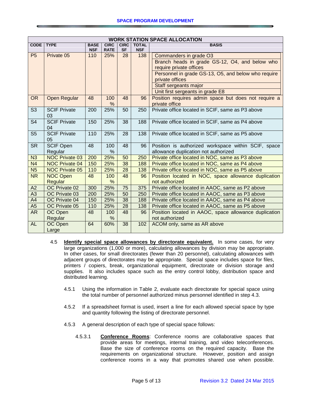| <b>WORK STATION SPACE ALLOCATION</b> |                       |             |             |             |              |                                                       |  |  |  |  |  |  |
|--------------------------------------|-----------------------|-------------|-------------|-------------|--------------|-------------------------------------------------------|--|--|--|--|--|--|
| <b>CODE</b>                          | <b>TYPE</b>           | <b>BASE</b> | <b>CIRC</b> | <b>CIRC</b> | <b>TOTAL</b> | <b>BASIS</b>                                          |  |  |  |  |  |  |
|                                      |                       | <b>NSF</b>  | <b>RATE</b> | <b>SF</b>   | <b>NSF</b>   |                                                       |  |  |  |  |  |  |
| P <sub>5</sub>                       | Private 05            | 110         | 25%         | 28          | 138          | Commanders in grade O3                                |  |  |  |  |  |  |
|                                      |                       |             |             |             |              | Branch heads in grade GS-12, O4, and below who        |  |  |  |  |  |  |
|                                      |                       |             |             |             |              | require private offices                               |  |  |  |  |  |  |
|                                      |                       |             |             |             |              | Personnel in grade GS-13, O5, and below who require   |  |  |  |  |  |  |
|                                      |                       |             |             |             |              | private offices                                       |  |  |  |  |  |  |
|                                      |                       |             |             |             |              | Staff sergeants major                                 |  |  |  |  |  |  |
|                                      |                       |             |             |             |              | Unit first sergeants in grade E8                      |  |  |  |  |  |  |
| <b>OR</b>                            | <b>Open Regular</b>   | 48          | 100         | 48          | 96           | Position requires admin space but does not require a  |  |  |  |  |  |  |
|                                      |                       |             | %           |             |              | private office                                        |  |  |  |  |  |  |
| S <sub>3</sub>                       | <b>SCIF Private</b>   | 200         | 25%         | 50          | 250          | Private office located in SCIF, same as P3 above      |  |  |  |  |  |  |
|                                      | 03                    |             |             |             |              |                                                       |  |  |  |  |  |  |
| S <sub>4</sub>                       | <b>SCIF Private</b>   | 150         | 25%         | 38          | 188          | Private office located in SCIF, same as P4 above      |  |  |  |  |  |  |
|                                      | 04                    |             |             |             |              |                                                       |  |  |  |  |  |  |
| S <sub>5</sub>                       | <b>SCIF Private</b>   | 110         | 25%         | 28          | 138          | Private office located in SCIF, same as P5 above      |  |  |  |  |  |  |
|                                      | 05                    |             |             |             |              |                                                       |  |  |  |  |  |  |
| <b>SR</b>                            | <b>SCIF Open</b>      | 48          | 100         | 48          | 96           | Position is authorized workspace within SCIF, space   |  |  |  |  |  |  |
|                                      | Regular               |             | %           |             |              | allowance duplication not authorized                  |  |  |  |  |  |  |
| N3                                   | <b>NOC Private 03</b> | 200         | 25%         | 50          | 250          | Private office located in NOC, same as P3 above       |  |  |  |  |  |  |
| N <sub>4</sub>                       | <b>NOC Private 04</b> | 150         | 25%         | 38          | 188          | Private office located in NOC, same as P4 above       |  |  |  |  |  |  |
| N <sub>5</sub>                       | <b>NOC Private 05</b> | 110         | 25%         | 28          | 138          | Private office located in NOC, same as P5 above       |  |  |  |  |  |  |
| <b>NR</b>                            | <b>NOC Open</b>       | 48          | 100         | 48          | 96           | Position located in NOC, space allowance duplication  |  |  |  |  |  |  |
|                                      | Regular               |             | %           |             |              | not authorized                                        |  |  |  |  |  |  |
| A2                                   | OC Private 02         | 300         | 25%         | 75          | 375          | Private office located in AAOC, same as P2 above      |  |  |  |  |  |  |
| A3                                   | OC Private 03         | 200         | 25%         | 50          | 250          | Private office located in AAOC, same as P3 above      |  |  |  |  |  |  |
| A4                                   | OC Private 04         | 150         | 25%         | 38          | 188          | Private office located in AAOC, same as P4 above      |  |  |  |  |  |  |
| A <sub>5</sub>                       | OC Private 05         | 110         | 25%         | 28          | 138          | Private office located in AAOC, same as P5 above      |  |  |  |  |  |  |
| <b>AR</b>                            | OC Open               | 48          | 100         | 48          | 96           | Position located in AAOC, space allowance duplication |  |  |  |  |  |  |
|                                      | Regular               |             | $\%$        |             |              | not authorized                                        |  |  |  |  |  |  |
| <b>AL</b>                            | OC Open               | 64          | 60%         | 38          | 102          | ACOM only, same as AR above                           |  |  |  |  |  |  |
|                                      | Large                 |             |             |             |              |                                                       |  |  |  |  |  |  |

- 4.5 **Identify special space allowances by directorate equivalent.** In some cases, for very large organizations (1,000 or more), calculating allowances by division may be appropriate. In other cases, for small directorates (fewer than 20 personnel), calculating allowances with adjacent groups of directorates may be appropriate. Special space includes space for files, printers / copiers, break, organizational equipment, directorate or division storage and supplies. It also includes space such as the entry control lobby, distribution space and distributed learning.
	- 4.5.1 Using the information in [Table 2,](#page-10-0) evaluate each directorate for special space using the total number of personnel authorized minus personnel identified in step 4.3.
	- 4.5.2 If a spreadsheet format is used, insert a line for each allowed special space by type and quantity following the listing of directorate personnel.
	- 4.5.3 A general description of each type of special space follows:
		- 4.5.3.1 **Conference Rooms**: Conference rooms are collaborative spaces that provide areas for meetings, internal training, and video teleconferences. Base the size of conference rooms on the required capacity. Base the requirements on organizational structure. However, position and assign conference rooms in a way that promotes shared use when possible.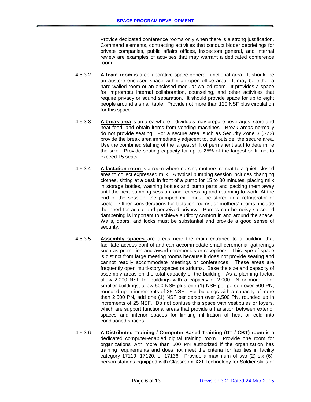Provide dedicated conference rooms only when there is a strong justification. Command elements, contracting activities that conduct bidder debriefings for private companies, public affairs offices, inspectors general, and internal review are examples of activities that may warrant a dedicated conference room.

- 4.5.3.2 **A team room** is a collaborative space general functional area. It should be an austere enclosed space within an open office area. It may be either a hard walled room or an enclosed modular-walled room. It provides a space for impromptu internal collaboration, counseling, and other activities that require privacy or sound separation. It should provide space for up to eight people around a small table. Provide not more than 120 NSF plus circulation for this space.
- 4.5.3.3 **A break area** is an area where individuals may prepare beverages, store and heat food, and obtain items from vending machines. Break areas normally do not provide seating. For a secure area, such as Security Zone 3 (SZ3) provide the break area immediately adjacent to, but outside, the secure area. Use the combined staffing of the largest shift of permanent staff to determine the size. Provide seating capacity for up to 25% of the largest shift, not to exceed 15 seats.
- 4.5.3.4 **A lactation room** is a room where nursing mothers retreat to a quiet, closed area to collect expressed milk. A typical pumping session includes changing clothes, sitting at a desk in front of a pump for 15 to 30 minutes, placing milk in storage bottles, washing bottles and pump parts and packing them away until the next pumping session, and redressing and returning to work. At the end of the session, the pumped milk must be stored in a refrigerator or cooler. Other considerations for lactation rooms, or mothers' rooms, include the need for actual and perceived privacy. Pumps can be noisy so sound dampening is important to achieve auditory comfort in and around the space. Walls, doors, and locks must be substantial and provide a good sense of security.
- 4.5.3.5 **Assembly spaces** are areas near the main entrance to a building that facilitate access control and can accommodate small ceremonial gatherings such as promotion and award ceremonies or receptions. This type of space is distinct from large meeting rooms because it does not provide seating and cannot readily accommodate meetings or conferences. These areas are frequently open multi-story spaces or atriums. Base the size and capacity of assembly areas on the total capacity of the building. As a planning factor, allow 2,000 NSF for buildings with a capacity of 2,000 PN or more. For smaller buildings, allow 500 NSF plus one (1) NSF per person over 500 PN, rounded up in increments of 25 NSF. For buildings with a capacity of more than 2,500 PN, add one (1) NSF per person over 2,500 PN, rounded up in increments of 25 NSF. Do not confuse this space with vestibules or foyers, which are support functional areas that provide a transition between exterior spaces and interior spaces for limiting infiltration of heat or cold into conditioned spaces.
- 4.5.3.6 **A Distributed Training / Computer-Based Training (DT / CBT) room** is a dedicated computer-enabled digital training room. Provide one room for organizations with more than 500 PN authorized if the organization has training requirements and does not meet the criteria for facilities in facility category 17119, 17120, or 17136. Provide a maximum of two (2) six (6) person stations equipped with Classroom XXI Technology for Soldier skills or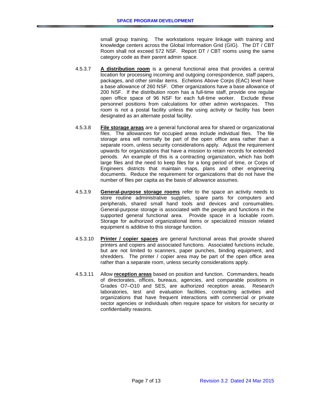small group training. The workstations require linkage with training and knowledge centers across the Global Information Grid (GIG). The DT / CBT Room shall not exceed 572 NSF. Report DT / CBT rooms using the same category code as their parent admin space.

- 4.5.3.7 **A distribution room** is a general functional area that provides a central location for processing incoming and outgoing correspondence, staff papers, packages, and other similar items. Echelons Above Corps (EAC) level have a base allowance of 260 NSF. Other organizations have a base allowance of 200 NSF. If the distribution room has a full-time staff, provide one regular open office space of 96 NSF for each full-time worker. Exclude these personnel positions from calculations for other admin workspaces. This room is not a postal facility unless the using activity or facility has been designated as an alternate postal facility.
- 4.5.3.8 **File storage areas** are a general functional area for shared or organizational files. The allowances for occupied areas include individual files. The file storage area will normally be part of the open office area rather than a separate room, unless security considerations apply. Adjust the requirement upwards for organizations that have a mission to retain records for extended periods. An example of this is a contracting organization, which has both large files and the need to keep files for a long period of time, or Corps of Engineers districts that maintain maps, plans and other engineering documents. Reduce the requirement for organizations that do not have the number of files per capita as the basis of allowance assumes.
- 4.5.3.9 **General-purpose storage rooms** refer to the space an activity needs to store routine administrative supplies, spare parts for computers and peripherals, shared small hand tools and devices and consumables. General-purpose storage is associated with the people and functions in the supported general functional area. Provide space in a lockable room. Storage for authorized organizational items or specialized mission related equipment is additive to this storage function.
- 4.5.3.10 **Printer / copier spaces** are general functional areas that provide shared printers and copiers and associated functions. Associated functions include, but are not limited to scanners, paper punches, binding equipment, and shredders. The printer / copier area may be part of the open office area rather than a separate room, unless security considerations apply.
- 4.5.3.11 Allow **reception areas** based on position and function. Commanders, heads of directorates, offices, bureaus, agencies, and comparable positions in Grades O7-O10 and SES, are authorized reception areas. Research Grades O7-O10 and SES, are authorized reception areas. laboratories, test and evaluation facilities, contracting activities and organizations that have frequent interactions with commercial or private sector agencies or individuals often require space for visitors for security or confidentiality reasons.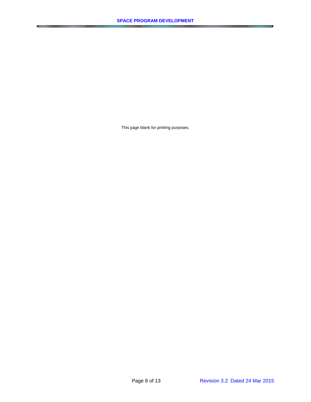This page blank for printing purposes.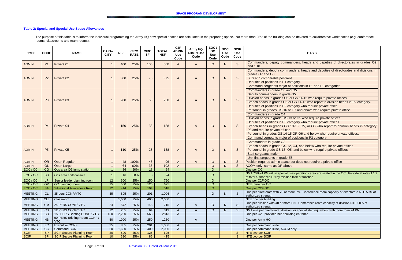# <span id="page-10-0"></span>**Table 2: Special and Special Use Space Allowances**

The purpose of this table is to inform the individual programming the Army HQ how special spaces are calculated in the preparing space. No more than 25% of the building can be devoted to collaborative workspaces (e.g. conf rooms, classrooms and team rooms).

| <b>TYPE</b>      | <b>CODE</b>     | <b>NAME</b>                                        | CAPA-<br><b>CITY</b> | <b>NSF</b> | <b>CIRC</b><br><b>RATE</b> | <b>CIRC</b><br><b>SF</b> | <b>TOTAL</b><br><b>NSF</b> | C <sub>2</sub> F<br><b>ADMIN</b><br><b>Use</b><br>Code | Army HQ<br><b>ADMIN Use</b><br>Code | EOC<br>OC<br><b>Use</b><br>Code | <b>NOC</b><br><b>Use</b><br>Code | <b>SCIF</b><br><b>Use</b><br>Code | <b>BASIS</b>                                                                                                                                                                                                                                                                                                                                                                                                               |  |
|------------------|-----------------|----------------------------------------------------|----------------------|------------|----------------------------|--------------------------|----------------------------|--------------------------------------------------------|-------------------------------------|---------------------------------|----------------------------------|-----------------------------------|----------------------------------------------------------------------------------------------------------------------------------------------------------------------------------------------------------------------------------------------------------------------------------------------------------------------------------------------------------------------------------------------------------------------------|--|
| <b>ADMIN</b>     | P <sub>1</sub>  | Private 01                                         |                      | 400        | 25%                        | 100                      | 500                        | $\mathsf{A}$                                           | $\mathsf{A}$                        | $\circ$                         | N                                | S                                 | Commanders, deputy commanders, heads and deputies of directorates in grades O9<br>and O10.                                                                                                                                                                                                                                                                                                                                 |  |
| <b>ADMIN</b>     | P <sub>2</sub>  | Private 02                                         |                      | 300        | 25%                        | 75                       | 375                        | $\overline{A}$                                         | $\overline{A}$                      | $\circ$                         | N                                | S                                 | Commanders, deputy commanders, heads and deputies of directorates and divisions in<br>grades O7 and O8.<br>SES and comparable positions.<br>Deputies of positions in P1 category.<br>Command sergeants major of positions in P1 and P2 categories.                                                                                                                                                                         |  |
| <b>ADMIN</b>     | P <sub>3</sub>  | Private 03                                         |                      | 200        | 25%                        | 50                       | 250                        | $\overline{A}$                                         | $\overline{A}$                      | $\circ$                         | N                                | S                                 | Commanders in grade O6 and O5.<br>Deputy commanders in grade O5.<br>Division heads in grades O6 or GS 14-15 who require private offices.<br>Branch heads in grades O6 or GS 14-15 who report to division heads in P2 category.<br>Deputies of positions in P2 category who require private office.<br>Personnel in grades GS-16 or O7 and above who require private office.                                                |  |
| <b>ADMIN</b>     | <b>P4</b>       | Private 04                                         |                      | 150        | 25%                        | 38                       | 188                        | $\overline{A}$                                         | $\overline{A}$                      | $\circ$                         | N                                | S                                 | Commanders in grade O4<br>Division heads in grade GS-13 or O5 who require private offices<br>Deputies of positions in P3 category who require private offices<br>Branch heads in grades GS 13-15, O5, or O6 who report to division heads in category<br>P3 and require private offices<br>Personnel in grades GS 14-15 OR O6 and below who require private offices.<br>Command sergeants major of positions in P3 category |  |
| <b>ADMIN</b>     | P <sub>5</sub>  | Private 05                                         |                      | 110        | 25%                        | 28                       | 138                        | $\overline{A}$                                         | $\overline{A}$                      | $\circ$                         | N                                | S                                 | Commanders in grade O3<br>Branch heads in grade GS-12, O4, and below who require private offices<br>Personnel in grade GS-13, O5, and below who require private offices<br>Staff sergeants major<br>Unit first sergeants in grade E8                                                                                                                                                                                       |  |
| <b>ADMIN</b>     | OR              | Open Regular                                       |                      | 48         | 100%                       | 48                       | 96                         | $\overline{A}$                                         | $\overline{A}$                      | $\circ$                         | N                                | S                                 | Position requires admin space but does not require a private office                                                                                                                                                                                                                                                                                                                                                        |  |
| <b>ADMIN</b>     | OL              | Open Large                                         |                      | 64         | 60%                        | $\overline{38}$          | 102                        | $\overline{A}$                                         |                                     | $\circ$                         | N                                | S                                 | ACOM only, same as OR above                                                                                                                                                                                                                                                                                                                                                                                                |  |
| EOC/OC<br>EOC/OC | CG<br><b>DS</b> | Ops area CG jump station<br>Ops area shift console |                      | 36<br>16   | 50%<br>50%                 | 18<br>8                  | 54<br>24                   |                                                        |                                     | $\overline{O}$<br>$\circ$       |                                  |                                   | One per OC<br>NMT 70% of PN within special use operations area are seated in the OC. Provide at rate of 1:2<br>of total authorized PN by mission task or function                                                                                                                                                                                                                                                          |  |
| EOC / OC         | LP              | Senior leader planning room                        | 12                   | 600        | 25%                        | 150                      | 750                        |                                                        |                                     | $\overline{O}$                  |                                  |                                   | One per C2F OC                                                                                                                                                                                                                                                                                                                                                                                                             |  |
| EOC / OC         | OP              | OC planning room                                   | 15                   | 500        | 25%                        | 125                      | 625                        |                                                        |                                     | $\Omega$                        |                                  |                                   | NTE three per OC                                                                                                                                                                                                                                                                                                                                                                                                           |  |
| EOC / OC         | SA              | <b>Situational Awareness Room</b>                  | 12 <sub>2</sub>      | 414        | 25%                        | 104                      | 518                        |                                                        |                                     | $\overline{O}$                  |                                  |                                   | One per C2F OC                                                                                                                                                                                                                                                                                                                                                                                                             |  |
| <b>MEETING</b>   | CL              | 35 pers CONF/VTC                                   | 35                   | 805        | 25%                        | 201                      | 1,006                      | A                                                      |                                     | $\circ$                         | N                                |                                   | One per directorate with 70 or more PN. Conference room capacity of directorate NTE 50% of<br>authorized strength                                                                                                                                                                                                                                                                                                          |  |
| <b>MEETING</b>   | CLL             | Classroom                                          |                      | 1,600      | 25%                        | 400                      | 2,000                      |                                                        |                                     |                                 |                                  |                                   | NTE one per building                                                                                                                                                                                                                                                                                                                                                                                                       |  |
| <b>MEETING</b>   | <b>CM</b>       | 24 PERS CONF/ VTC                                  | 24                   | 572        | 25%                        | 143                      | 715                        | A                                                      | $\mathsf{A}$                        | $\circ$                         | N                                | S                                 | One per division with 48 or more PN. Conference room capacity of division NTE 50% of<br>authorized strength                                                                                                                                                                                                                                                                                                                |  |
| <b>MEETING</b>   | <b>CS</b>       | 12 PERS CONF/ VTC                                  | 12                   | 255        | 25%                        | 64                       | 319                        | $\overline{A}$                                         | $\mathsf{A}$                        | $\circ$                         | N                                | S                                 | NMT one per directorate, division, or special staff equivalent with more than 24 PN                                                                                                                                                                                                                                                                                                                                        |  |
| <b>MEETING</b>   | CB              | 150 PERS Briefing CONF / VTC                       | 150                  | 2,250      | 25%                        | 563                      | 2813                       |                                                        |                                     |                                 |                                  |                                   | One per C2F provided near building entrance                                                                                                                                                                                                                                                                                                                                                                                |  |
| <b>MEETING</b>   | HB              | 50 PERS Briefing Room CONF /<br><b>VTC</b>         | 50                   | 1000       | 25%                        | 250                      | 1250                       |                                                        | $\mathsf{A}$                        |                                 |                                  |                                   | One per Army HQ                                                                                                                                                                                                                                                                                                                                                                                                            |  |
| <b>MEETING</b>   | EC              | <b>Executive CONF</b>                              | 35                   | 805        | 25%                        | 201                      | 1,006                      | $\mathsf{A}$                                           |                                     |                                 |                                  |                                   | One per command suite                                                                                                                                                                                                                                                                                                                                                                                                      |  |
| <b>MEETING</b>   | CC              | <b>Command CONF</b>                                | 60                   | 1,600      | 25%                        | 400                      | 2,000                      | $\mathsf{A}$                                           |                                     |                                 |                                  |                                   | One per command suite, ACOM only                                                                                                                                                                                                                                                                                                                                                                                           |  |
| <b>SCIF</b>      | <b>SP</b>       | <b>SCIF Secure Planning Room</b>                   | 20                   | 500        | 25%                        | 125                      | 625                        |                                                        |                                     |                                 |                                  | S.                                | NTE two per SCIF                                                                                                                                                                                                                                                                                                                                                                                                           |  |
| <b>SCIF</b>      | <b>SP</b>       | <b>SCIF Secure Planning Room</b>                   | 10 <sup>°</sup>      | 330        | 25%                        | 85                       | 415                        |                                                        |                                     |                                 |                                  | S                                 | NTE two per SCIF                                                                                                                                                                                                                                                                                                                                                                                                           |  |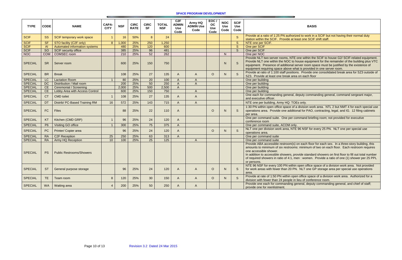#### **SPACE PROGRAM DEVELOPMENT**

# **BASIS**

zed to work in a SCIF but not having their normal duty east one SCIF shift staff.

one within the SCIF to house G2/ SCIF-related equipment. house equipment for the remainder of the building plus VTC server room space must be justified by the existence of hat is provided in one server room.

ns. Provide one consolidated break area for SZ3 outside of a on each floor

deputy commanding general, command sergeant major,

a division work area. NTL 2 but NMT 4 for each special use onal for PAO, contracting, legal, and IG. 12 filing cabinets

ommand briefing room; not provided for executive

E 96 NSF for every 25 PN. NLT one per special use

on each floor for each sex. In a three-story building, this s: minimum of two on each floor. Each restroom requires

rovide standard showers on first floor to fill out total number nen : women. Provide a ratio of one (1) shower per 25 PPL

n open office space of a division work area. Not provided V. NLT one GP storage area per special use operations

en office space of a division work area. Authorized for a lieu of conference room.

eneral, deputy commanding general, and chief of staff;

| <b>TYPE</b>                | <b>CODE</b>            | <b>NAME</b>                                              | CAPA-<br><b>CITY</b> | <b>NSF</b>   | <b>CIRC</b><br><b>RATE</b> | <b>CIRC</b><br><b>SF</b> | <b>TOTAL</b><br><b>NSF</b> | C2F<br><b>ADMIN</b><br><b>Use</b><br>Code | Army HQ<br><b>ADMIN Use</b><br>Code | EOC/<br><b>OC</b><br><b>Use</b><br>Code | <b>NOC</b><br><b>Use</b><br>Code | <b>SCIF</b><br><b>Use</b><br>Code |                                                                                                                                                                                                                                     |
|----------------------------|------------------------|----------------------------------------------------------|----------------------|--------------|----------------------------|--------------------------|----------------------------|-------------------------------------------|-------------------------------------|-----------------------------------------|----------------------------------|-----------------------------------|-------------------------------------------------------------------------------------------------------------------------------------------------------------------------------------------------------------------------------------|
| <b>SCIF</b>                | <b>SS</b>              | SCIF temporary work space                                | $\overline{1}$       | 16           | 50%                        | 8                        | 24                         |                                           |                                     |                                         |                                  | S                                 | Provide at a ratio of 1:25 PN authorized to w                                                                                                                                                                                       |
|                            |                        |                                                          |                      |              | 25%                        | 250                      |                            |                                           |                                     |                                         |                                  |                                   | station within the SCIF. Provide at least one                                                                                                                                                                                       |
| <b>SCIF</b><br><b>SCIF</b> | <b>SF</b><br><b>AI</b> | STO facility (C2F only)<br>Automated information systems | 8                    | 1,000<br>480 | 25%                        | 120                      | 1,250<br>600               |                                           |                                     |                                         |                                  | S<br>$\overline{\mathcal{S}}$     | NTE one per SCIF.<br>One per SCIF                                                                                                                                                                                                   |
| <b>SCIF</b>                | SO                     | <b>SCIF</b> security office                              |                      | 385          | 25%                        | 96                       | 481                        |                                           |                                     |                                         |                                  | $\overline{S}$                    | One per SCIF                                                                                                                                                                                                                        |
| <b>NOC</b>                 | <b>COM</b>             | <b>COMSEC</b> room                                       |                      | 210          | 25%                        | $\overline{52}$          | 262                        |                                           |                                     |                                         | N                                |                                   | One per NOC                                                                                                                                                                                                                         |
| <b>SPECIAL</b>             | <b>SR</b>              | Server room                                              |                      | 600          | 25%                        | 150                      | 750                        |                                           |                                     |                                         | N                                | S                                 | Provide NLT two server rooms, NTE one wit<br>Provide NLT one within the NOC to house e<br>equipment. Presence of additional server ro<br>equipment requiring space above what is pro                                                |
| <b>SPECIAL</b>             | <b>BR</b>              | <b>Break</b>                                             |                      | 108          | 25%                        | 27                       | 135                        | A                                         | A                                   | $\circ$                                 | N.                               | S                                 | Provide at ratio of 1:100 staff positions. Pro<br>SZ3. Provide at least one break area on ea                                                                                                                                        |
| <b>SPECIAL</b>             | LC                     | <b>Lactation Room</b>                                    | $\overline{1}$       | 80           | 25%                        | $\overline{20}$          | 100                        | A                                         | $\overline{A}$                      |                                         |                                  |                                   | One per building                                                                                                                                                                                                                    |
| <b>SPECIAL</b>             | <b>DC</b>              | Distribution / Mail room                                 |                      | 200          | 25%                        | 50                       | 250                        | $\mathsf{A}$                              | $\overline{A}$                      |                                         |                                  |                                   | One per building                                                                                                                                                                                                                    |
| <b>SPECIAL</b>             | CE                     | <b>Ceremonial / Screening</b>                            |                      | 2,000        | 25%                        | 500                      | 2,500                      | $\mathsf{A}$                              |                                     |                                         |                                  |                                   | One per building                                                                                                                                                                                                                    |
| <b>SPECIAL</b>             | <b>CE</b>              | Lobby Area with Access Control                           |                      | 600          | 25%                        | 150                      | 750                        |                                           | $\overline{A}$                      |                                         |                                  |                                   | One per building                                                                                                                                                                                                                    |
| <b>SPECIAL</b>             | <b>CT</b>              | <b>CMD</b> toilet                                        | $\mathbf 1$          | 108          | 25%                        | 27                       | 135                        | A                                         | $\mathsf{A}$                        |                                         |                                  |                                   | One each for commanding general, deputy of<br>and executive officer.                                                                                                                                                                |
| <b>SPECIAL</b>             | DT                     | Distrib/ PC-Based Training RM                            | 16                   | 572          | 25%                        | 143                      | 715                        | A                                         | $\mathsf A$                         |                                         |                                  |                                   | NTE one per building, Army HQ: TOEs only.                                                                                                                                                                                           |
| <b>SPECIAL</b>             | <b>FC</b>              | <b>Files</b>                                             |                      | 88           | 25%                        | 22                       | 110                        | A                                         |                                     | $\circ$                                 | N.                               | S                                 | 1:30 PN within open office space of a divisio<br>operations area. Provide one additional for<br>per area.                                                                                                                           |
| <b>SPECIAL</b>             | KT                     | Kitchen (CMD GRP)                                        | $\mathbf{1}$         | 96           | 25%                        | 24                       | 120                        | A                                         |                                     |                                         |                                  |                                   | One per command suite. One per command<br>conference room                                                                                                                                                                           |
| <b>SPECIAL</b>             | P <sub>6</sub>         | Visiting GO office                                       | $\overline{1}$       | 300          | 25%                        | 75                       | 375                        | $\mathsf{A}$                              |                                     |                                         |                                  |                                   | One per command suite, ACOM only.                                                                                                                                                                                                   |
| <b>SPECIAL</b>             | <b>PC</b>              | Printer/ Copier area                                     |                      | 96           | 25%                        | 24                       | 120                        | $\mathsf{A}$                              |                                     | $\circ$                                 | N.                               | S                                 | NLT one per division work area, NTE 96 NS<br>operations area.                                                                                                                                                                       |
| <b>SPECIAL</b>             | <b>RA</b>              | <b>C2F Reception</b>                                     | $\overline{25}$      | 250          | 25%                        | 63                       | 313                        | $\mathsf{A}$                              |                                     |                                         |                                  |                                   | One per command suite                                                                                                                                                                                                               |
| <b>SPECIAL</b>             | <b>RA</b>              | Army HQ Reception                                        | 10                   | 100          | 25%                        | $\overline{25}$          | 125                        |                                           | $\overline{A}$                      |                                         |                                  |                                   | One per command suite                                                                                                                                                                                                               |
| <b>SPECIAL</b>             | <b>PS</b>              | <b>Public Restrooms/Showers</b>                          |                      |              |                            |                          |                            |                                           |                                     |                                         |                                  |                                   | Provide ABA accessible restroom(s) on each<br>amounts to minimum of six restrooms: minin<br>one accessible shower.<br>In addition to accessible showers, provide st<br>of required showers in ratio of 4:1, men : wo<br>or persons. |
| <b>SPECIAL</b>             | <b>ST</b>              | General purpose storage                                  |                      | 96           | 25%                        | 24                       | 120                        | A                                         | A                                   | $\circ$                                 | N                                | S                                 | NTE 96 NSF for every 100 PN within open of<br>for work areas with fewer than 20 PN. NLT<br>area.                                                                                                                                    |
| <b>SPECIAL</b>             | TE.                    | Team room                                                | 8                    | 120          | 25%                        | 30                       | 150                        | A                                         | A                                   | $\circ$                                 | N.                               | S                                 | Provide at rate of 1:50 PN within open office<br>division with fewer than 24 people in lieu of o                                                                                                                                    |
| <b>SPECIAL</b>             | <b>WA</b>              | <b>Waiting</b> area                                      | $\overline{4}$       | 200          | 25%                        | 50                       | 250                        | A                                         | $\mathsf{A}$                        |                                         |                                  |                                   | Provide one each for commanding general,<br>provide one for reenlistment.                                                                                                                                                           |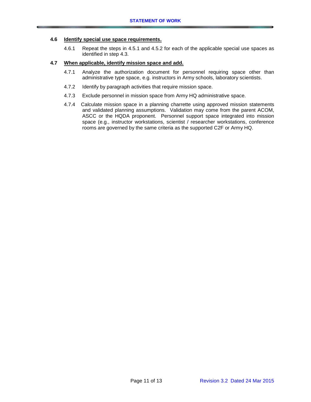### **4.6 Identify special use space requirements.**

4.6.1 Repeat the steps in 4.5.1 and 4.5.2 for each of the applicable special use spaces as identified in step 4.3.

# **4.7 When applicable, identify mission space and add.**

- 4.7.1 Analyze the authorization document for personnel requiring space other than administrative type space, e.g. instructors in Army schools, laboratory scientists.
- 4.7.2 Identify by paragraph activities that require mission space.
- 4.7.3 Exclude personnel in mission space from Army HQ administrative space.
- 4.7.4 Calculate mission space in a planning charrette using approved mission statements and validated planning assumptions. Validation may come from the parent ACOM, ASCC or the HQDA proponent. Personnel support space integrated into mission space (e.g., instructor workstations, scientist / researcher workstations, conference rooms are governed by the same criteria as the supported C2F or Army HQ.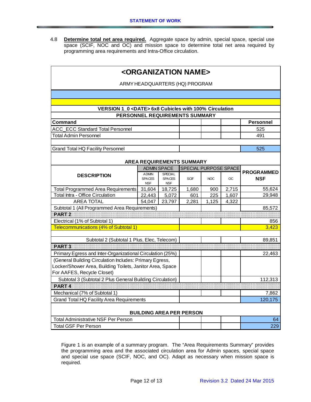4.8 **Determine total net area required.** Aggregate space by admin, special space, special use space (SCIF, NOC and OC) and mission space to determine total net area required by programming area requirements and Intra-Office circulation.

| <organization name=""></organization>                                   |                                             |                                               |                                  |                  |       |                                 |  |  |  |  |  |
|-------------------------------------------------------------------------|---------------------------------------------|-----------------------------------------------|----------------------------------|------------------|-------|---------------------------------|--|--|--|--|--|
| ARMY HEADQUARTERS (HQ) PROGRAM                                          |                                             |                                               |                                  |                  |       |                                 |  |  |  |  |  |
|                                                                         |                                             |                                               |                                  |                  |       |                                 |  |  |  |  |  |
|                                                                         |                                             |                                               |                                  |                  |       |                                 |  |  |  |  |  |
| VERSION 1 0 <date> 6x8 Cubicles with 100% Circulation</date>            |                                             |                                               |                                  |                  |       |                                 |  |  |  |  |  |
| PERSONNEL REQUIREMENTS SUMMARY                                          |                                             |                                               |                                  |                  |       |                                 |  |  |  |  |  |
| Command                                                                 |                                             |                                               |                                  | <b>Personnel</b> |       |                                 |  |  |  |  |  |
| <b>ACC ECC Standard Total Personnel</b><br><b>Total Admin Personnel</b> |                                             |                                               |                                  |                  |       | 525<br>491                      |  |  |  |  |  |
|                                                                         |                                             |                                               |                                  |                  |       |                                 |  |  |  |  |  |
| <b>Grand Total HQ Facility Personnel</b>                                |                                             |                                               |                                  |                  |       | 525                             |  |  |  |  |  |
|                                                                         |                                             |                                               |                                  |                  |       |                                 |  |  |  |  |  |
|                                                                         |                                             |                                               | <b>AREA REQUIREMENTS SUMMARY</b> |                  |       |                                 |  |  |  |  |  |
|                                                                         | <b>ADMIN SPACE</b>                          |                                               | SPECIAL PURPOSE SPACE            |                  |       |                                 |  |  |  |  |  |
| <b>DESCRIPTION</b>                                                      | <b>ADMIN</b><br><b>SPACES</b><br><b>NSF</b> | <b>SPECIAL</b><br><b>SPACES</b><br><b>NSF</b> | <b>SCIF</b>                      | <b>NOC</b>       | OC    | <b>PROGRAMMED</b><br><b>NSF</b> |  |  |  |  |  |
| <b>Total Programmed Area Requirements</b>                               | 31,604                                      | 18,725                                        | 1,680                            | 900              | 2,715 | 55,624                          |  |  |  |  |  |
| <b>Total Intra - Office Circulation</b>                                 | 22,443                                      | 5,072                                         | 601                              | 225              | 1,607 | 29,948                          |  |  |  |  |  |
| <b>AREA TOTAL</b>                                                       | 54,047                                      | 23,797                                        | 2,281                            | 1,125            | 4,322 |                                 |  |  |  |  |  |
| Subtotal 1 (All Programmed Area Requirements)                           |                                             |                                               |                                  |                  |       | 85,572                          |  |  |  |  |  |
| PART <sub>2</sub>                                                       |                                             |                                               |                                  |                  |       |                                 |  |  |  |  |  |
| Electrical (1% of Subtotal 1)                                           |                                             |                                               |                                  |                  |       | 856                             |  |  |  |  |  |
| Telecommunications (4% of Subtotal 1)                                   |                                             |                                               |                                  |                  |       | 3,423                           |  |  |  |  |  |
| Subtotal 2 (Subtotal 1 Plus, Elec, Telecom)                             |                                             |                                               |                                  |                  |       | 89,851                          |  |  |  |  |  |
| PART <sub>3</sub>                                                       |                                             |                                               |                                  |                  |       |                                 |  |  |  |  |  |
| Primary Egress and Inter-Organizational Circulation (25%)               |                                             |                                               |                                  |                  |       | 22,463                          |  |  |  |  |  |
| (General Building Circulation Includes: Primary Egress,                 |                                             |                                               |                                  |                  |       |                                 |  |  |  |  |  |
| Locker/Shower Area, Building Toilets, Janitor Area, Space               |                                             |                                               |                                  |                  |       |                                 |  |  |  |  |  |
| For AAFES, Recycle Closet)                                              |                                             |                                               |                                  |                  |       |                                 |  |  |  |  |  |
| Subtotal 3 (Subtotal 2 Plus General Building Circulation)               |                                             |                                               |                                  |                  |       | 112,313                         |  |  |  |  |  |
| PART <sub>4</sub>                                                       |                                             |                                               |                                  |                  |       |                                 |  |  |  |  |  |
| Mechanical (7% of Subtotal 1)                                           |                                             |                                               |                                  | 7,862            |       |                                 |  |  |  |  |  |
| <b>Grand Total HQ Facility Area Requirements</b>                        |                                             |                                               |                                  |                  |       | 120,175                         |  |  |  |  |  |
| <b>BUILDING AREA PER PERSON</b>                                         |                                             |                                               |                                  |                  |       |                                 |  |  |  |  |  |
| <b>Total Administrative NSF Per Person</b>                              |                                             |                                               |                                  |                  |       |                                 |  |  |  |  |  |
| Total GSF Per Person                                                    |                                             |                                               |                                  |                  |       |                                 |  |  |  |  |  |

Figure 1 is an example of a summary program. The "Area Requirements Summary" provides the programming area and the associated circulation area for Admin spaces, special space and special use space (SCIF, NOC, and OC). Adapt as necessary when mission space is required.